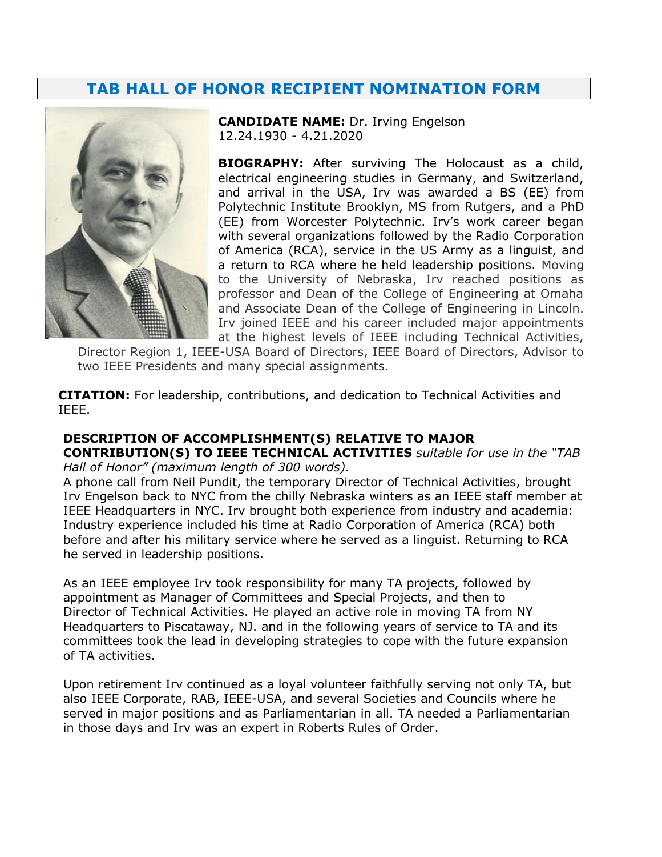## **TAB HALL OF HONOR RECIPIENT NOMINATION FORM**



**CANDIDATE NAME:** Dr. Irving Engelson 12.24.1930 - 4.21.2020

**BIOGRAPHY:** After surviving The Holocaust as a child, electrical engineering studies in Germany, and Switzerland, and arrival in the USA, Irv was awarded a BS (EE) from Polytechnic Institute Brooklyn, MS from Rutgers, and a PhD (EE) from Worcester Polytechnic. Irv's work career began with several organizations followed by the Radio Corporation of America (RCA), service in the US Army as a linguist, and a return to RCA where he held leadership positions. Moving to the University of Nebraska, Irv reached positions as professor and Dean of the College of Engineering at Omaha and Associate Dean of the College of Engineering in Lincoln. Irv joined IEEE and his career included major appointments at the highest levels of IEEE including Technical Activities,

Director Region 1, IEEE-USA Board of Directors, IEEE Board of Directors, Advisor to two IEEE Presidents and many special assignments.

**CITATION:** For leadership, contributions, and dedication to Technical Activities and IEEE.

## **DESCRIPTION OF ACCOMPLISHMENT(S) RELATIVE TO MAJOR**

**CONTRIBUTION(S) TO IEEE TECHNICAL ACTIVITIES** *suitable for use in the "TAB Hall of Honor" (maximum length of 300 words).*

A phone call from Neil Pundit, the temporary Director of Technical Activities, brought Irv Engelson back to NYC from the chilly Nebraska winters as an IEEE staff member at IEEE Headquarters in NYC. Irv brought both experience from industry and academia: Industry experience included his time at Radio Corporation of America (RCA) both before and after his military service where he served as a linguist. Returning to RCA he served in leadership positions.

As an IEEE employee Irv took responsibility for many TA projects, followed by appointment as Manager of Committees and Special Projects, and then to Director of Technical Activities. He played an active role in moving TA from NY Headquarters to Piscataway, NJ. and in the following years of service to TA and its committees took the lead in developing strategies to cope with the future expansion of TA activities.

Upon retirement Irv continued as a loyal volunteer faithfully serving not only TA, but also IEEE Corporate, RAB, IEEE-USA, and several Societies and Councils where he served in major positions and as Parliamentarian in all. TA needed a Parliamentarian in those days and Irv was an expert in Roberts Rules of Order.